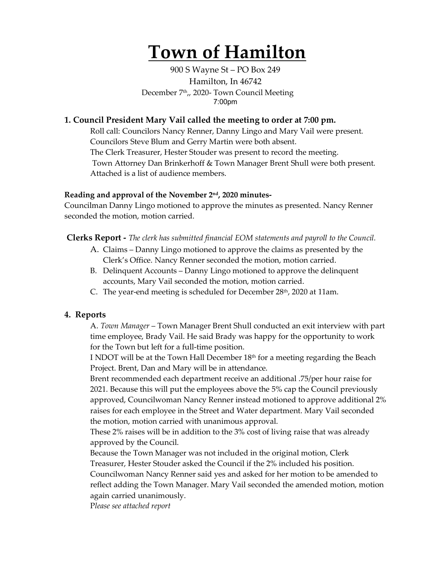# **Town of Hamilton**

900 S Wayne St – PO Box 249 Hamilton, In 46742 December 7<sup>th</sup>,, 2020- Town Council Meeting 7:00pm

### **1. Council President Mary Vail called the meeting to order at 7:00 pm.**

Roll call: Councilors Nancy Renner, Danny Lingo and Mary Vail were present. Councilors Steve Blum and Gerry Martin were both absent. The Clerk Treasurer, Hester Stouder was present to record the meeting. Town Attorney Dan Brinkerhoff & Town Manager Brent Shull were both present. Attached is a list of audience members.

#### **Reading and approval of the November 2nd, 2020 minutes-**

Councilman Danny Lingo motioned to approve the minutes as presented. Nancy Renner seconded the motion, motion carried.

**Clerks Report -** *The clerk has submitted financial EOM statements and payroll to the Council.* 

- A. Claims Danny Lingo motioned to approve the claims as presented by the Clerk's Office. Nancy Renner seconded the motion, motion carried.
- B. Delinquent Accounts Danny Lingo motioned to approve the delinquent accounts, Mary Vail seconded the motion, motion carried.
- C. The year-end meeting is scheduled for December  $28<sup>th</sup>$ , 2020 at 11am.

#### **4. Reports**

A. *Town Manager* – Town Manager Brent Shull conducted an exit interview with part time employee, Brady Vail. He said Brady was happy for the opportunity to work for the Town but left for a full-time position.

I NDOT will be at the Town Hall December 18th for a meeting regarding the Beach Project. Brent, Dan and Mary will be in attendance.

Brent recommended each department receive an additional .75/per hour raise for 2021. Because this will put the employees above the 5% cap the Council previously approved, Councilwoman Nancy Renner instead motioned to approve additional 2% raises for each employee in the Street and Water department. Mary Vail seconded the motion, motion carried with unanimous approval.

These 2% raises will be in addition to the 3% cost of living raise that was already approved by the Council.

Because the Town Manager was not included in the original motion, Clerk Treasurer, Hester Stouder asked the Council if the 2% included his position. Councilwoman Nancy Renner said yes and asked for her motion to be amended to reflect adding the Town Manager. Mary Vail seconded the amended motion, motion again carried unanimously.

P*lease see attached report*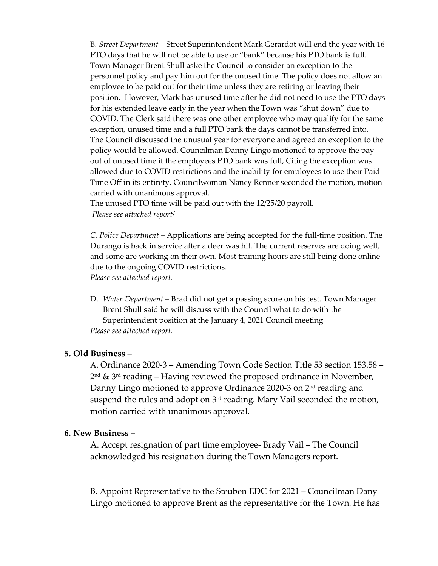B*. Street Department* – Street Superintendent Mark Gerardot will end the year with 16 PTO days that he will not be able to use or "bank" because his PTO bank is full. Town Manager Brent Shull aske the Council to consider an exception to the personnel policy and pay him out for the unused time. The policy does not allow an employee to be paid out for their time unless they are retiring or leaving their position. However, Mark has unused time after he did not need to use the PTO days for his extended leave early in the year when the Town was "shut down" due to COVID. The Clerk said there was one other employee who may qualify for the same exception, unused time and a full PTO bank the days cannot be transferred into. The Council discussed the unusual year for everyone and agreed an exception to the policy would be allowed. Councilman Danny Lingo motioned to approve the pay out of unused time if the employees PTO bank was full, Citing the exception was allowed due to COVID restrictions and the inability for employees to use their Paid Time Off in its entirety. Councilwoman Nancy Renner seconded the motion, motion carried with unanimous approval.

The unused PTO time will be paid out with the 12/25/20 payroll. *Please see attached report/*

*C. Police Department –* Applications are being accepted for the full-time position. The Durango is back in service after a deer was hit. The current reserves are doing well, and some are working on their own. Most training hours are still being done online due to the ongoing COVID restrictions.

*Please see attached report.*

D. *Water Department* – Brad did not get a passing score on his test. Town Manager Brent Shull said he will discuss with the Council what to do with the Superintendent position at the January 4, 2021 Council meeting *Please see attached report.* 

#### **5. Old Business –**

A. Ordinance 2020-3 – Amending Town Code Section Title 53 section 153.58 –  $2<sup>nd</sup>$  &  $3<sup>rd</sup>$  reading – Having reviewed the proposed ordinance in November, Danny Lingo motioned to approve Ordinance 2020-3 on 2nd reading and suspend the rules and adopt on 3<sup>rd</sup> reading. Mary Vail seconded the motion, motion carried with unanimous approval.

#### **6. New Business –**

A. Accept resignation of part time employee- Brady Vail – The Council acknowledged his resignation during the Town Managers report.

B. Appoint Representative to the Steuben EDC for 2021 – Councilman Dany Lingo motioned to approve Brent as the representative for the Town. He has